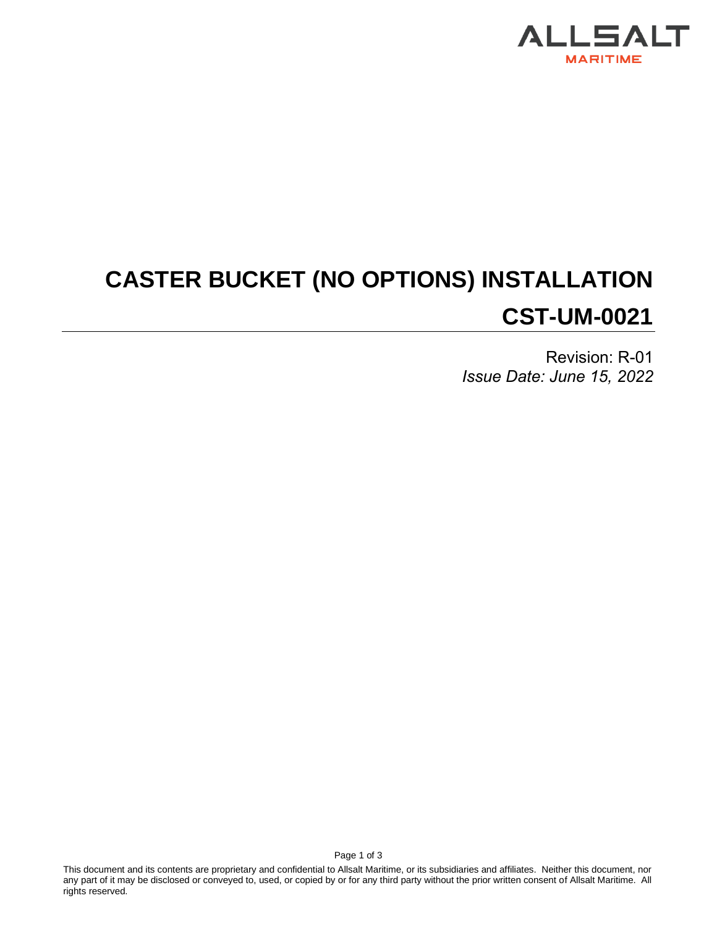

# **CASTER BUCKET (NO OPTIONS) INSTALLATION CST-UM-0021**

Revision: R-01 *Issue Date: June 15, 2022*

This document and its contents are proprietary and confidential to Allsalt Maritime, or its subsidiaries and affiliates. Neither this document, nor any part of it may be disclosed or conveyed to, used, or copied by or for any third party without the prior written consent of Allsalt Maritime. All rights reserved.

Page 1 of 3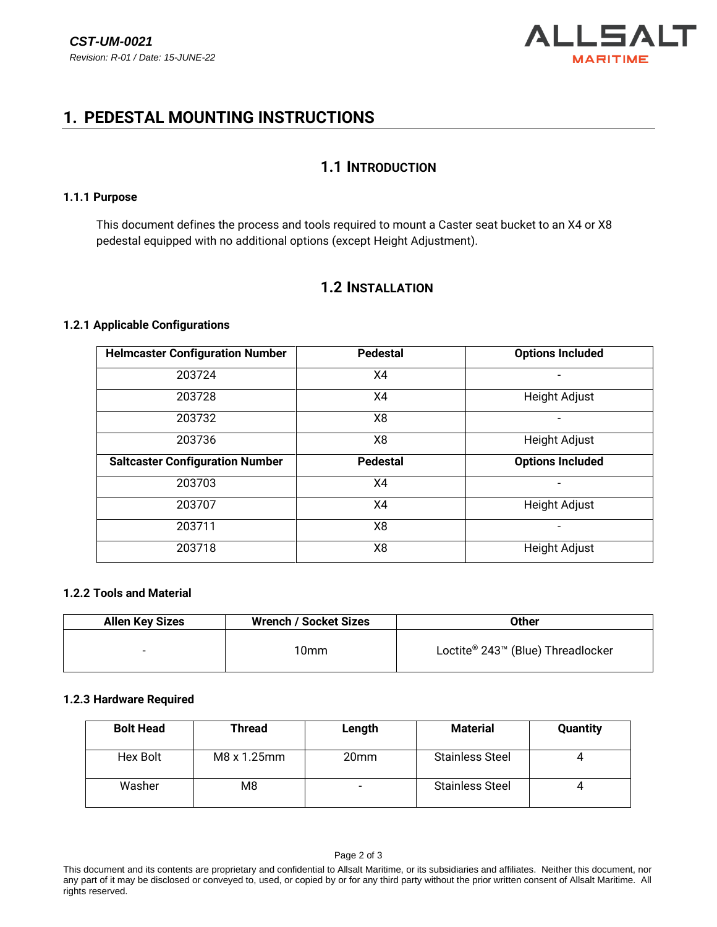

## **1. PEDESTAL MOUNTING INSTRUCTIONS**

## **1.1 INTRODUCTION**

#### **1.1.1 Purpose**

This document defines the process and tools required to mount a Caster seat bucket to an X4 or X8 pedestal equipped with no additional options (except Height Adjustment).

## **1.2 INSTALLATION**

### **1.2.1 Applicable Configurations**

| <b>Helmcaster Configuration Number</b> | <b>Pedestal</b> | <b>Options Included</b> |  |
|----------------------------------------|-----------------|-------------------------|--|
| 203724                                 | X4              |                         |  |
| 203728                                 | X4              | Height Adjust           |  |
| 203732                                 | X8              |                         |  |
| 203736                                 | X8              | <b>Height Adjust</b>    |  |
| <b>Saltcaster Configuration Number</b> | <b>Pedestal</b> | <b>Options Included</b> |  |
| 203703                                 | X4              |                         |  |
| 203707                                 | X4              | <b>Height Adjust</b>    |  |
| 203711                                 | X8              |                         |  |
| 203718                                 | X <sub>8</sub>  | <b>Height Adjust</b>    |  |

## **1.2.2 Tools and Material**

| <b>Allen Key Sizes</b> | <b>Wrench / Socket Sizes</b> | Other                             |  |
|------------------------|------------------------------|-----------------------------------|--|
| $\sim$                 | 10mm                         | Loctite® 243™ (Blue) Threadlocker |  |

### **1.2.3 Hardware Required**

| <b>Bolt Head</b> | Thread      | Length           | <b>Material</b>        | <b>Quantity</b> |
|------------------|-------------|------------------|------------------------|-----------------|
| Hex Bolt         | M8 x 1.25mm | 20 <sub>mm</sub> | <b>Stainless Steel</b> |                 |
| Washer           | M8          |                  | <b>Stainless Steel</b> |                 |

This document and its contents are proprietary and confidential to Allsalt Maritime, or its subsidiaries and affiliates. Neither this document, nor any part of it may be disclosed or conveyed to, used, or copied by or for any third party without the prior written consent of Allsalt Maritime. All rights reserved.